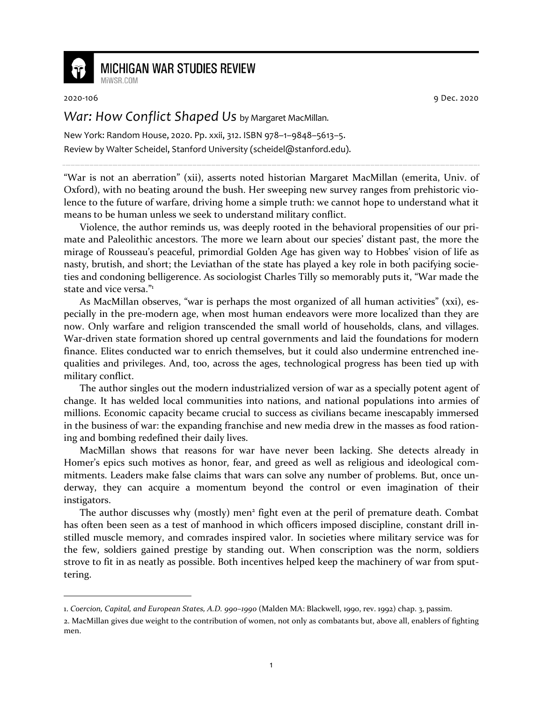

## **MICHIGAN WAR STUDIES REVIEW**

MiWSR COM

2020-106 9 Dec. 2020

## *War: How Conflict Shaped Us* by Margaret MacMillan.

New York: Random House, 2020. Pp. xxii, 312. ISBN 978–1–9848–5613–5. Review by Walter Scheidel, Stanford University (scheidel@stanford.edu).

"War is not an aberration" (xii), asserts noted historian Margaret MacMillan (emerita, Univ. of Oxford), with no beating around the bush. Her sweeping new survey ranges from prehistoric violence to the future of warfare, driving home a simple truth: we cannot hope to understand what it means to be human unless we seek to understand military conflict.

Violence, the author reminds us, was deeply rooted in the behavioral propensities of our primate and Paleolithic ancestors. The more we learn about our species' distant past, the more the mirage of Rousseau's peaceful, primordial Golden Age has given way to Hobbes' vision of life as nasty, brutish, and short; the Leviathan of the state has played a key role in both pacifying societies and condoning belligerence. As sociologist Charles Tilly so memorably puts it, "War made the state and vice versa."<sup>1</sup>

As MacMillan observes, "war is perhaps the most organized of all human activities" (xxi), especially in the pre-modern age, when most human endeavors were more localized than they are now. Only warfare and religion transcended the small world of households, clans, and villages. War-driven state formation shored up central governments and laid the foundations for modern finance. Elites conducted war to enrich themselves, but it could also undermine entrenched inequalities and privileges. And, too, across the ages, technological progress has been tied up with military conflict.

The author singles out the modern industrialized version of war as a specially potent agent of change. It has welded local communities into nations, and national populations into armies of millions. Economic capacity became crucial to success as civilians became inescapably immersed in the business of war: the expanding franchise and new media drew in the masses as food rationing and bombing redefined their daily lives.

MacMillan shows that reasons for war have never been lacking. She detects already in Homer's epics such motives as honor, fear, and greed as well as religious and ideological commitments. Leaders make false claims that wars can solve any number of problems. But, once underway, they can acquire a momentum beyond the control or even imagination of their instigators.

The author discusses why (mostly) men<sup>2</sup> fight even at the peril of premature death. Combat has often been seen as a test of manhood in which officers imposed discipline, constant drill instilled muscle memory, and comrades inspired valor. In societies where military service was for the few, soldiers gained prestige by standing out. When conscription was the norm, soldiers strove to fit in as neatly as possible. Both incentives helped keep the machinery of war from sputtering.

<sup>1.</sup> *Coercion, Capital, and European States, A.D. 990–1990* (Malden MA: Blackwell, 1990, rev. 1992) chap. 3, passim.

<sup>2.</sup> MacMillan gives due weight to the contribution of women, not only as combatants but, above all, enablers of fighting men.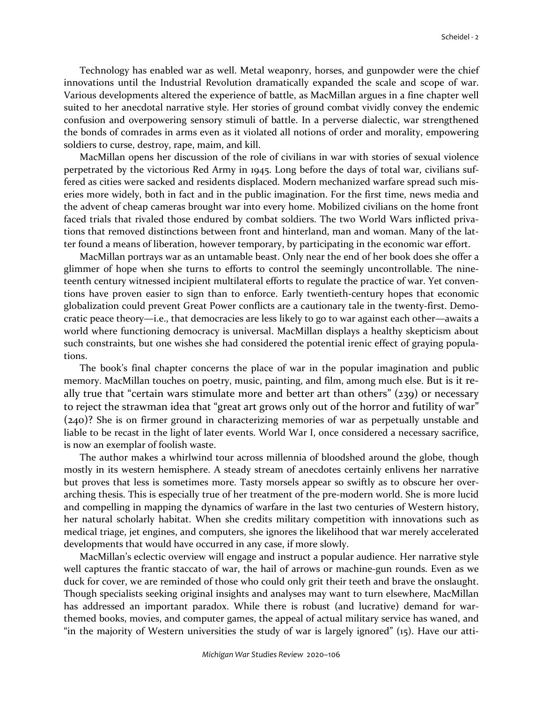Technology has enabled war as well. Metal weaponry, horses, and gunpowder were the chief innovations until the Industrial Revolution dramatically expanded the scale and scope of war. Various developments altered the experience of battle, as MacMillan argues in a fine chapter well suited to her anecdotal narrative style. Her stories of ground combat vividly convey the endemic confusion and overpowering sensory stimuli of battle. In a perverse dialectic, war strengthened the bonds of comrades in arms even as it violated all notions of order and morality, empowering soldiers to curse, destroy, rape, maim, and kill.

MacMillan opens her discussion of the role of civilians in war with stories of sexual violence perpetrated by the victorious Red Army in 1945. Long before the days of total war, civilians suffered as cities were sacked and residents displaced. Modern mechanized warfare spread such miseries more widely, both in fact and in the public imagination. For the first time, news media and the advent of cheap cameras brought war into every home. Mobilized civilians on the home front faced trials that rivaled those endured by combat soldiers. The two World Wars inflicted privations that removed distinctions between front and hinterland, man and woman. Many of the latter found a means of liberation, however temporary, by participating in the economic war effort.

MacMillan portrays war as an untamable beast. Only near the end of her book does she offer a glimmer of hope when she turns to efforts to control the seemingly uncontrollable. The nineteenth century witnessed incipient multilateral efforts to regulate the practice of war. Yet conventions have proven easier to sign than to enforce. Early twentieth-century hopes that economic globalization could prevent Great Power conflicts are a cautionary tale in the twenty-first. Democratic peace theory—i.e., that democracies are less likely to go to war against each other—awaits a world where functioning democracy is universal. MacMillan displays a healthy skepticism about such constraints, but one wishes she had considered the potential irenic effect of graying populations.

The book's final chapter concerns the place of war in the popular imagination and public memory. MacMillan touches on poetry, music, painting, and film, among much else. But is it really true that "certain wars stimulate more and better art than others" (239) or necessary to reject the strawman idea that "great art grows only out of the horror and futility of war" (240)? She is on firmer ground in characterizing memories of war as perpetually unstable and liable to be recast in the light of later events. World War I, once considered a necessary sacrifice, is now an exemplar of foolish waste.

The author makes a whirlwind tour across millennia of bloodshed around the globe, though mostly in its western hemisphere. A steady stream of anecdotes certainly enlivens her narrative but proves that less is sometimes more. Tasty morsels appear so swiftly as to obscure her overarching thesis. This is especially true of her treatment of the pre-modern world. She is more lucid and compelling in mapping the dynamics of warfare in the last two centuries of Western history, her natural scholarly habitat. When she credits military competition with innovations such as medical triage, jet engines, and computers, she ignores the likelihood that war merely accelerated developments that would have occurred in any case, if more slowly.

MacMillan's eclectic overview will engage and instruct a popular audience. Her narrative style well captures the frantic staccato of war, the hail of arrows or machine-gun rounds. Even as we duck for cover, we are reminded of those who could only grit their teeth and brave the onslaught. Though specialists seeking original insights and analyses may want to turn elsewhere, MacMillan has addressed an important paradox. While there is robust (and lucrative) demand for warthemed books, movies, and computer games, the appeal of actual military service has waned, and "in the majority of Western universities the study of war is largely ignored" (15). Have our atti